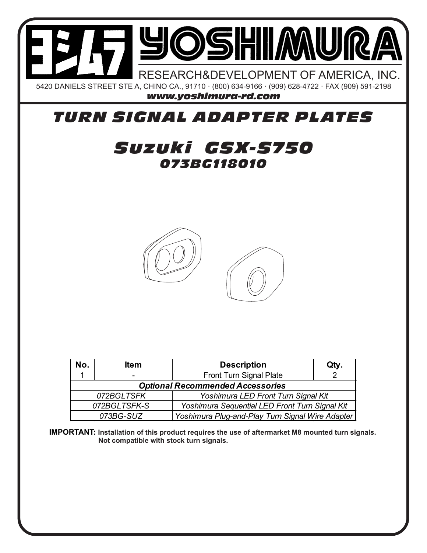

## *TURN SIGNAL ADAPTER PLATES*

## *073BG118010 Suzuki GSX-S750*



| No.                                                            | <b>Item</b>                                                   | <b>Description</b>      | Qty. |
|----------------------------------------------------------------|---------------------------------------------------------------|-------------------------|------|
|                                                                | $\overline{\phantom{0}}$                                      | Front Turn Signal Plate |      |
| <b>Optional Recommended Accessories</b>                        |                                                               |                         |      |
| Yoshimura LED Front Turn Signal Kit<br>072BGLTSFK              |                                                               |                         |      |
| 072BGLTSFK-S<br>Yoshimura Sequential LED Front Turn Signal Kit |                                                               |                         |      |
|                                                                | Yoshimura Plug-and-Play Turn Signal Wire Adapter<br>073BG-SUZ |                         |      |

**IMPORTANT: Installation of this product requires the use of aftermarket M8 mounted turn signals. Not compatible with stock turn signals.**